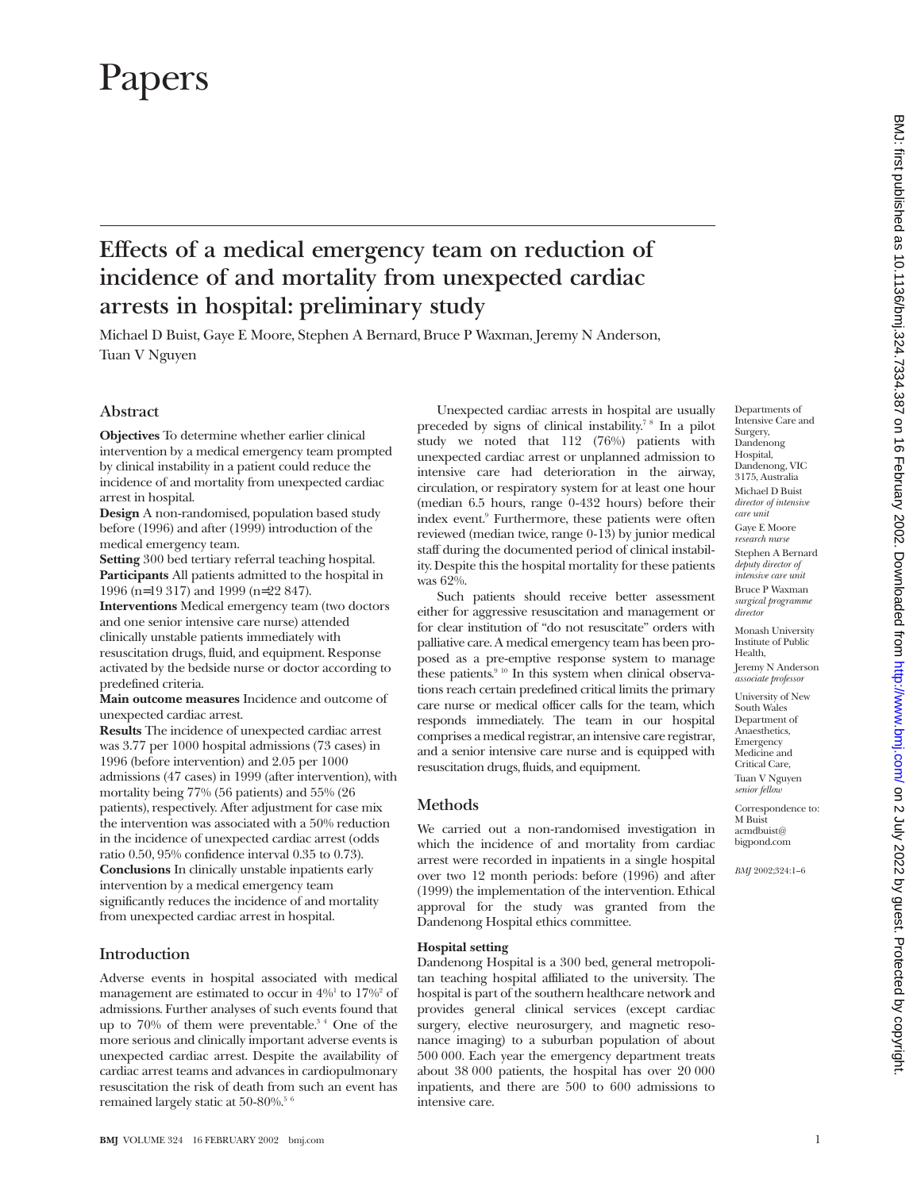# Papers

# **Effects of a medical emergency team on reduction of incidence of and mortality from unexpected cardiac arrests in hospital: preliminary study**

Michael D Buist, Gaye E Moore, Stephen A Bernard, Bruce P Waxman, Jeremy N Anderson, Tuan V Nguyen

# **Abstract**

**Objectives** To determine whether earlier clinical intervention by a medical emergency team prompted by clinical instability in a patient could reduce the incidence of and mortality from unexpected cardiac arrest in hospital.

**Design** A non-randomised, population based study before (1996) and after (1999) introduction of the medical emergency team.

**Setting** 300 bed tertiary referral teaching hospital. **Participants** All patients admitted to the hospital in 1996 (n=19 317) and 1999 (n=22 847).

**Interventions** Medical emergency team (two doctors and one senior intensive care nurse) attended clinically unstable patients immediately with resuscitation drugs, fluid, and equipment. Response activated by the bedside nurse or doctor according to predefined criteria.

**Main outcome measures** Incidence and outcome of unexpected cardiac arrest.

**Results** The incidence of unexpected cardiac arrest was 3.77 per 1000 hospital admissions (73 cases) in 1996 (before intervention) and 2.05 per 1000 admissions (47 cases) in 1999 (after intervention), with mortality being 77% (56 patients) and 55% (26 patients), respectively. After adjustment for case mix the intervention was associated with a 50% reduction in the incidence of unexpected cardiac arrest (odds ratio 0.50, 95% confidence interval 0.35 to 0.73). **Conclusions** In clinically unstable inpatients early intervention by a medical emergency team significantly reduces the incidence of and mortality from unexpected cardiac arrest in hospital.

# **Introduction**

Adverse events in hospital associated with medical management are estimated to occur in  $4\%$ <sup>1</sup> to  $17\%$ <sup>2</sup> of admissions. Further analyses of such events found that up to 70% of them were preventable.<sup>34</sup> One of the more serious and clinically important adverse events is unexpected cardiac arrest. Despite the availability of cardiac arrest teams and advances in cardiopulmonary resuscitation the risk of death from such an event has remained largely static at 50-80%.<sup>5 6</sup>

Unexpected cardiac arrests in hospital are usually preceded by signs of clinical instability.7 8 In a pilot study we noted that 112 (76%) patients with unexpected cardiac arrest or unplanned admission to intensive care had deterioration in the airway, circulation, or respiratory system for at least one hour (median 6.5 hours, range 0-432 hours) before their index event.<sup>9</sup> Furthermore, these patients were often reviewed (median twice, range 0-13) by junior medical staff during the documented period of clinical instability. Despite this the hospital mortality for these patients was 62%.

Such patients should receive better assessment either for aggressive resuscitation and management or for clear institution of "do not resuscitate" orders with palliative care. A medical emergency team has been proposed as a pre-emptive response system to manage these patients.<sup>9 10</sup> In this system when clinical observations reach certain predefined critical limits the primary care nurse or medical officer calls for the team, which responds immediately. The team in our hospital comprises a medical registrar, an intensive care registrar, and a senior intensive care nurse and is equipped with resuscitation drugs, fluids, and equipment.

# **Methods**

We carried out a non-randomised investigation in which the incidence of and mortality from cardiac arrest were recorded in inpatients in a single hospital over two 12 month periods: before (1996) and after (1999) the implementation of the intervention. Ethical approval for the study was granted from the Dandenong Hospital ethics committee.

# **Hospital setting**

Dandenong Hospital is a 300 bed, general metropolitan teaching hospital affiliated to the university. The hospital is part of the southern healthcare network and provides general clinical services (except cardiac surgery, elective neurosurgery, and magnetic resonance imaging) to a suburban population of about 500 000. Each year the emergency department treats about 38 000 patients, the hospital has over 20 000 inpatients, and there are 500 to 600 admissions to intensive care.

BMJ: first published as 10.1136/bmj.324.7334.387 on 16 February 2002. Downloaded from http://www.bmj.com/ on 2 July 2022 by guest. Protected by copyright on 2 July 2022 by guest. Protected by copyright. <http://www.bmj.com/> BMJ: first published as 10.1136/bmj.324.7334.387 on 16 February 2002. Downloaded from

Departments of Intensive Care and Surgery, Dandenong Hospital, Dandenong, VIC 3175, Australia Michael D Buist *director of intensive care unit* Gaye E Moore *research nurse* Stephen A Bernard *deputy director of intensive care unit* Bruce P Waxman *surgical programme director*

Monash University Institute of Public Health, Jeremy N Anderson *associate professor* University of New South Wales Department of Anaesthetics, Emergency Medicine and Critical Care, Tuan V Nguyen *senior fellow* Correspondence to: M Buist acmdbuist@ bigpond.com *BMJ* 2002;324:1–6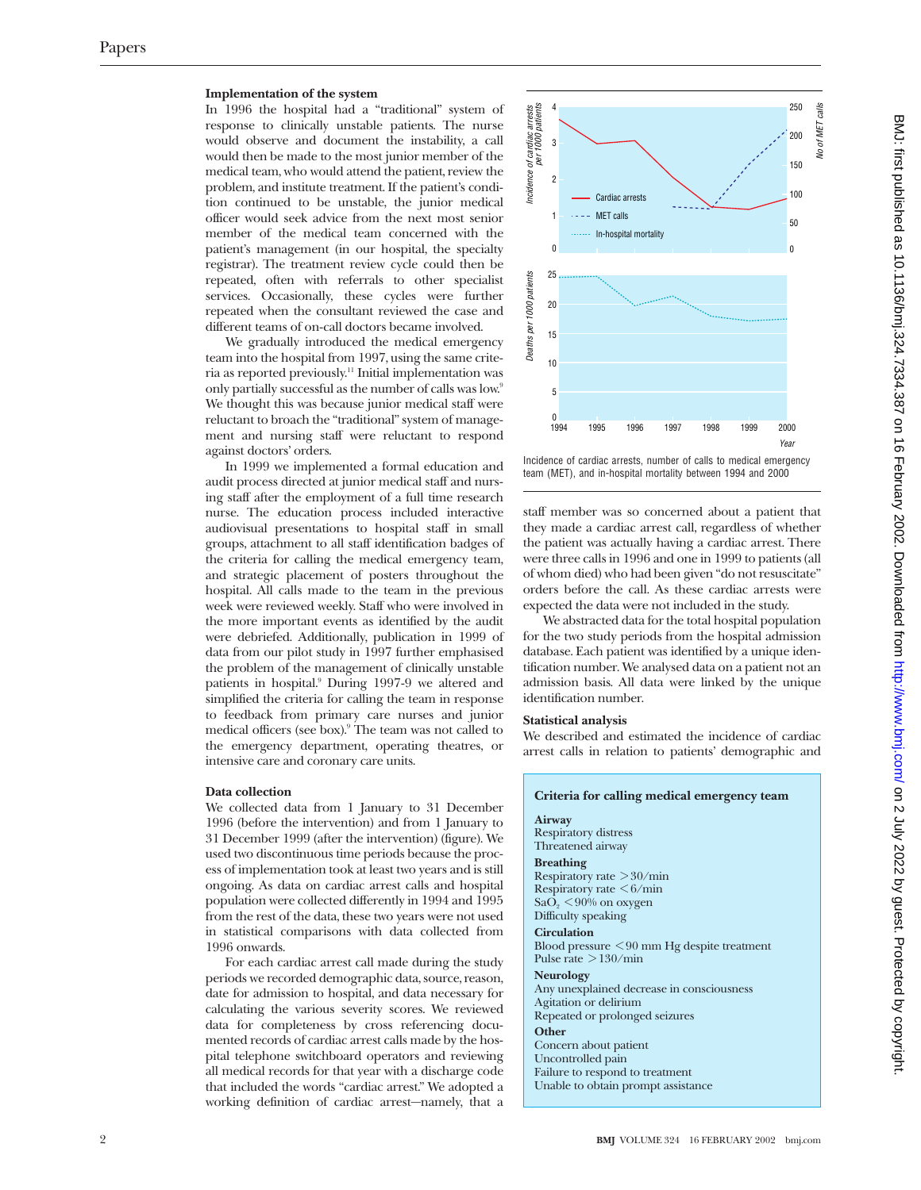#### **Implementation of the system**

In 1996 the hospital had a "traditional" system of response to clinically unstable patients. The nurse would observe and document the instability, a call would then be made to the most junior member of the medical team, who would attend the patient, review the problem, and institute treatment. If the patient's condition continued to be unstable, the junior medical officer would seek advice from the next most senior member of the medical team concerned with the patient's management (in our hospital, the specialty registrar). The treatment review cycle could then be repeated, often with referrals to other specialist services. Occasionally, these cycles were further repeated when the consultant reviewed the case and different teams of on-call doctors became involved.

We gradually introduced the medical emergency team into the hospital from 1997, using the same criteria as reported previously.11 Initial implementation was only partially successful as the number of calls was low.<sup>9</sup> We thought this was because junior medical staff were reluctant to broach the "traditional" system of management and nursing staff were reluctant to respond against doctors' orders.

In 1999 we implemented a formal education and audit process directed at junior medical staff and nursing staff after the employment of a full time research nurse. The education process included interactive audiovisual presentations to hospital staff in small groups, attachment to all staff identification badges of the criteria for calling the medical emergency team, and strategic placement of posters throughout the hospital. All calls made to the team in the previous week were reviewed weekly. Staff who were involved in the more important events as identified by the audit were debriefed. Additionally, publication in 1999 of data from our pilot study in 1997 further emphasised the problem of the management of clinically unstable patients in hospital.<sup>9</sup> During 1997-9 we altered and simplified the criteria for calling the team in response to feedback from primary care nurses and junior medical officers (see box).<sup>9</sup> The team was not called to the emergency department, operating theatres, or intensive care and coronary care units.

#### **Data collection**

We collected data from 1 January to 31 December 1996 (before the intervention) and from 1 January to 31 December 1999 (after the intervention) (figure). We used two discontinuous time periods because the process of implementation took at least two years and is still ongoing. As data on cardiac arrest calls and hospital population were collected differently in 1994 and 1995 from the rest of the data, these two years were not used in statistical comparisons with data collected from 1996 onwards.

For each cardiac arrest call made during the study periods we recorded demographic data, source, reason, date for admission to hospital, and data necessary for calculating the various severity scores. We reviewed data for completeness by cross referencing documented records of cardiac arrest calls made by the hospital telephone switchboard operators and reviewing all medical records for that year with a discharge code that included the words "cardiac arrest." We adopted a working definition of cardiac arrest—namely, that a



Incidence of cardiac arrests, number of calls to medical emergency team (MET), and in-hospital mortality between 1994 and 2000

staff member was so concerned about a patient that they made a cardiac arrest call, regardless of whether the patient was actually having a cardiac arrest. There were three calls in 1996 and one in 1999 to patients (all of whom died) who had been given "do not resuscitate" orders before the call. As these cardiac arrests were expected the data were not included in the study.

We abstracted data for the total hospital population for the two study periods from the hospital admission database. Each patient was identified by a unique identification number. We analysed data on a patient not an admission basis. All data were linked by the unique identification number.

#### **Statistical analysis**

We described and estimated the incidence of cardiac arrest calls in relation to patients' demographic and

| Criteria for calling medical emergency team                                                                                                                                                                                                                |
|------------------------------------------------------------------------------------------------------------------------------------------------------------------------------------------------------------------------------------------------------------|
| Airway<br>Respiratory distress<br>Threatened airway                                                                                                                                                                                                        |
| <b>Breathing</b><br>Respiratory rate $>30/\text{min}$<br>Respiratory rate $\leq 6$ /min<br>$\text{SaO}_2$ < 90% on oxygen<br>Difficulty speaking<br><b>Circulation</b><br>Blood pressure $\leq 90$ mm Hg despite treatment<br>Pulse rate $>130/\text{min}$ |
| <b>Neurology</b><br>Any unexplained decrease in consciousness<br>Agitation or delirium<br>Repeated or prolonged seizures<br>Other<br>Concern about patient<br>Uncontrolled pain<br>Failure to respond to treatment<br>Unable to obtain prompt assistance   |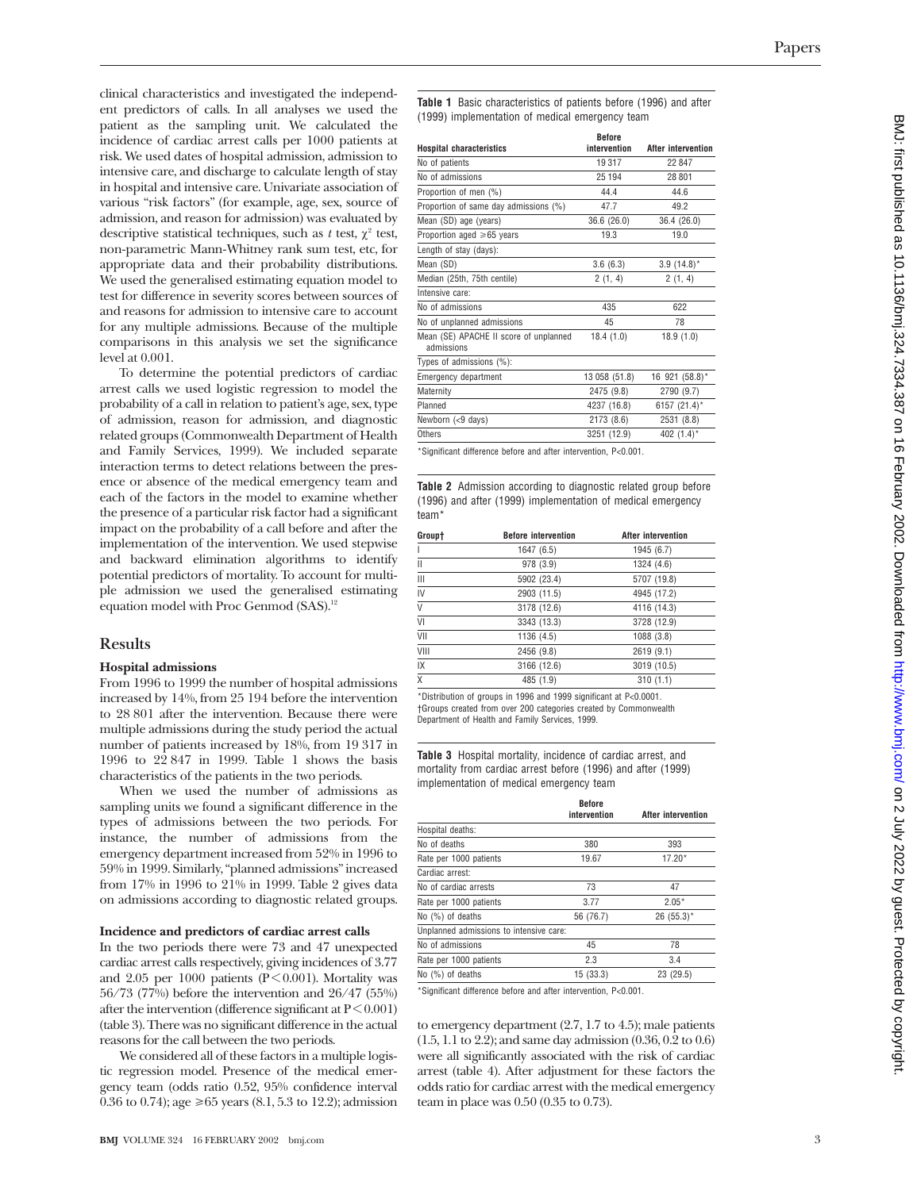clinical characteristics and investigated the independent predictors of calls. In all analyses we used the patient as the sampling unit. We calculated the incidence of cardiac arrest calls per 1000 patients at risk. We used dates of hospital admission, admission to intensive care, and discharge to calculate length of stay in hospital and intensive care. Univariate association of various "risk factors" (for example, age, sex, source of admission, and reason for admission) was evaluated by descriptive statistical techniques, such as  $t$  test,  $\chi^2$  test, non-parametric Mann-Whitney rank sum test, etc, for appropriate data and their probability distributions. We used the generalised estimating equation model to test for difference in severity scores between sources of and reasons for admission to intensive care to account for any multiple admissions. Because of the multiple comparisons in this analysis we set the significance level at 0.001.

To determine the potential predictors of cardiac arrest calls we used logistic regression to model the probability of a call in relation to patient's age, sex, type of admission, reason for admission, and diagnostic related groups (Commonwealth Department of Health and Family Services, 1999). We included separate interaction terms to detect relations between the presence or absence of the medical emergency team and each of the factors in the model to examine whether the presence of a particular risk factor had a significant impact on the probability of a call before and after the implementation of the intervention. We used stepwise and backward elimination algorithms to identify potential predictors of mortality. To account for multiple admission we used the generalised estimating equation model with Proc Genmod (SAS).<sup>12</sup>

# **Results**

### **Hospital admissions**

From 1996 to 1999 the number of hospital admissions increased by 14%, from 25 194 before the intervention to 28 801 after the intervention. Because there were multiple admissions during the study period the actual number of patients increased by 18%, from 19 317 in 1996 to 22 847 in 1999. Table 1 shows the basis characteristics of the patients in the two periods.

When we used the number of admissions as sampling units we found a significant difference in the types of admissions between the two periods. For instance, the number of admissions from the emergency department increased from 52% in 1996 to 59% in 1999. Similarly, "planned admissions" increased from 17% in 1996 to 21% in 1999. Table 2 gives data on admissions according to diagnostic related groups.

#### **Incidence and predictors of cardiac arrest calls**

In the two periods there were 73 and 47 unexpected cardiac arrest calls respectively, giving incidences of 3.77 and 2.05 per 1000 patients ( $P \le 0.001$ ). Mortality was 56/73 (77%) before the intervention and 26/47 (55%) after the intervention (difference significant at  $P < 0.001$ ) (table 3). There was no significant difference in the actual reasons for the call between the two periods.

We considered all of these factors in a multiple logistic regression model. Presence of the medical emergency team (odds ratio 0.52, 95% confidence interval 0.36 to 0.74); age  $\ge 65$  years (8.1, 5.3 to 12.2); admission **Table 1** Basic characteristics of patients before (1996) and after (1999) implementation of medical emergency team

|                                                      | <b>Before</b> |                           |
|------------------------------------------------------|---------------|---------------------------|
| <b>Hospital characteristics</b>                      | intervention  | <b>After intervention</b> |
| No of patients                                       | 19317         | 22 847                    |
| No of admissions                                     | 25 194        | 28 801                    |
| Proportion of men (%)                                | 44.4          | 44.6                      |
| Proportion of same day admissions (%)                | 47.7          | 49.2                      |
| Mean (SD) age (years)                                | 36.6 (26.0)   | 36.4 (26.0)               |
| Proportion aged ≥65 years                            | 19.3          | 19.0                      |
| Length of stay (days):                               |               |                           |
| Mean (SD)                                            | 3.6(6.3)      | $3.9(14.8)^*$             |
| Median (25th, 75th centile)                          | 2(1, 4)       | 2(1, 4)                   |
| Intensive care:                                      |               |                           |
| No of admissions                                     | 435           | 622                       |
| No of unplanned admissions                           | 45            | 78                        |
| Mean (SE) APACHE II score of unplanned<br>admissions | 18.4(1.0)     | 18.9(1.0)                 |
| Types of admissions (%):                             |               |                           |
| <b>Emergency department</b>                          | 13 058 (51.8) | 16 921 (58.8)*            |
| Maternity                                            | 2475 (9.8)    | 2790 (9.7)                |
| Planned                                              | 4237 (16.8)   | 6157 (21.4)*              |
| Newborn (<9 days)                                    | 2173 (8.6)    | 2531 (8.8)                |
| Others                                               | 3251 (12.9)   | 402 $(1.4)^*$             |

\*Significant difference before and after intervention, P<0.001.

**Table 2** Admission according to diagnostic related group before (1996) and after (1999) implementation of medical emergency team\*

| Group† | <b>Before intervention</b> | After intervention |
|--------|----------------------------|--------------------|
|        | 1647 (6.5)                 | 1945 (6.7)         |
| Ш      | 978 (3.9)                  | 1324 (4.6)         |
| Ш      | 5902 (23.4)                | 5707 (19.8)        |
| IV     | 2903 (11.5)                | 4945 (17.2)        |
| V      | 3178 (12.6)                | 4116 (14.3)        |
| VI     | 3343 (13.3)                | 3728 (12.9)        |
| VII    | 1136 (4.5)                 | 1088 (3.8)         |
| VIII   | 2456 (9.8)                 | 2619 (9.1)         |
| IX     | 3166 (12.6)                | 3019 (10.5)        |
| X      | 485 (1.9)                  | 310(1.1)           |

\*Distribution of groups in 1996 and 1999 significant at P<0.0001. †Groups created from over 200 categories created by Commonwealth Department of Health and Family Services, 1999.

**Table 3** Hospital mortality, incidence of cardiac arrest, and mortality from cardiac arrest before (1996) and after (1999) implementation of medical emergency team

|                                         | <b>Before</b> |                           |
|-----------------------------------------|---------------|---------------------------|
|                                         | intervention  | <b>After intervention</b> |
| Hospital deaths:                        |               |                           |
| No of deaths                            | 380           | 393                       |
| Rate per 1000 patients                  | 19.67         | $17.20*$                  |
| Cardiac arrest:                         |               |                           |
| No of cardiac arrests                   | 73            | 47                        |
| Rate per 1000 patients                  | 3.77          | $2.05*$                   |
| No (%) of deaths                        | 56 (76.7)     | $26(55.3)$ *              |
| Unplanned admissions to intensive care: |               |                           |
| No of admissions                        | 45            | 78                        |
| Rate per 1000 patients                  | 2.3           | 3.4                       |
| No $(%)$ of deaths                      | 15 (33.3)     | 23 (29.5)                 |

\*Significant difference before and after intervention, P<0.001.

to emergency department (2.7, 1.7 to 4.5); male patients (1.5, 1.1 to 2.2); and same day admission (0.36, 0.2 to 0.6) were all significantly associated with the risk of cardiac arrest (table 4). After adjustment for these factors the odds ratio for cardiac arrest with the medical emergency team in place was 0.50 (0.35 to 0.73).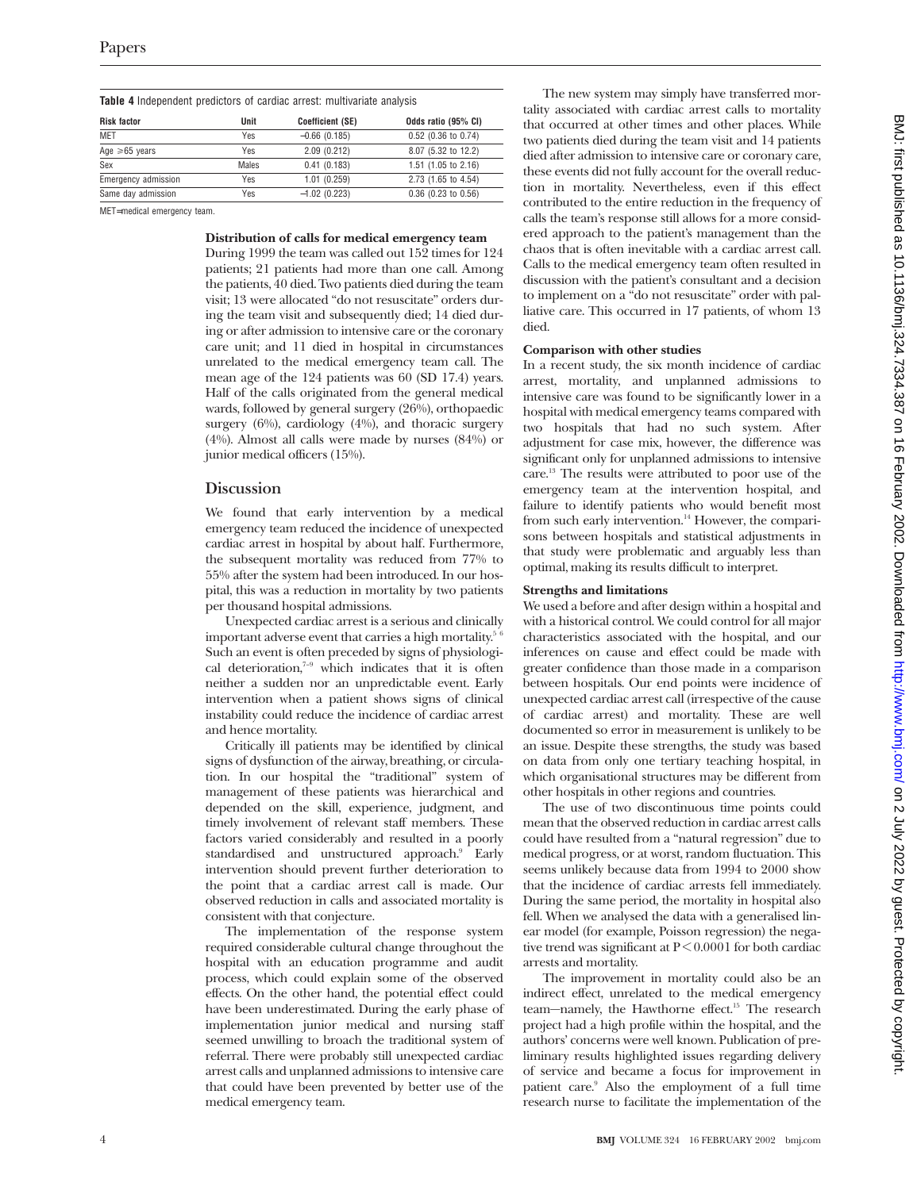| <b>Table 4</b> Independent predictors of cardiac arrest: multivariate analysis |  |  |  |
|--------------------------------------------------------------------------------|--|--|--|

| Unit       | <b>Coefficient (SE)</b> | Odds ratio (95% CI)            |
|------------|-------------------------|--------------------------------|
| <b>Yes</b> | $-0.66(0.185)$          | 0.52 (0.36 to 0.74)            |
| Yes        | 2.09(0.212)             | 8.07 (5.32 to 12.2)            |
| Males      | 0.41(0.183)             | 1.51 $(1.05 \text{ to } 2.16)$ |
| Yes        | 1.01(0.259)             | 2.73 (1.65 to 4.54)            |
| Yes        | $-1.02(0.223)$          | $0.36$ (0.23 to 0.56)          |
|            |                         |                                |

MET=medical emergency team.

#### **Distribution of calls for medical emergency team**

During 1999 the team was called out 152 times for 124 patients; 21 patients had more than one call. Among the patients, 40 died. Two patients died during the team visit; 13 were allocated "do not resuscitate" orders during the team visit and subsequently died; 14 died during or after admission to intensive care or the coronary care unit; and 11 died in hospital in circumstances unrelated to the medical emergency team call. The mean age of the 124 patients was 60 (SD 17.4) years. Half of the calls originated from the general medical wards, followed by general surgery (26%), orthopaedic surgery  $(6\%)$ , cardiology  $(4\%)$ , and thoracic surgery (4%). Almost all calls were made by nurses (84%) or junior medical officers (15%).

# **Discussion**

We found that early intervention by a medical emergency team reduced the incidence of unexpected cardiac arrest in hospital by about half. Furthermore, the subsequent mortality was reduced from 77% to 55% after the system had been introduced. In our hospital, this was a reduction in mortality by two patients per thousand hospital admissions.

Unexpected cardiac arrest is a serious and clinically important adverse event that carries a high mortality.<sup>5 6</sup> Such an event is often preceded by signs of physiological deterioration, $7-9$  which indicates that it is often neither a sudden nor an unpredictable event. Early intervention when a patient shows signs of clinical instability could reduce the incidence of cardiac arrest and hence mortality.

Critically ill patients may be identified by clinical signs of dysfunction of the airway, breathing, or circulation. In our hospital the "traditional" system of management of these patients was hierarchical and depended on the skill, experience, judgment, and timely involvement of relevant staff members. These factors varied considerably and resulted in a poorly standardised and unstructured approach.<sup>9</sup> Early intervention should prevent further deterioration to the point that a cardiac arrest call is made. Our observed reduction in calls and associated mortality is consistent with that conjecture.

The implementation of the response system required considerable cultural change throughout the hospital with an education programme and audit process, which could explain some of the observed effects. On the other hand, the potential effect could have been underestimated. During the early phase of implementation junior medical and nursing staff seemed unwilling to broach the traditional system of referral. There were probably still unexpected cardiac arrest calls and unplanned admissions to intensive care that could have been prevented by better use of the medical emergency team.

The new system may simply have transferred mortality associated with cardiac arrest calls to mortality that occurred at other times and other places. While two patients died during the team visit and 14 patients died after admission to intensive care or coronary care, these events did not fully account for the overall reduction in mortality. Nevertheless, even if this effect contributed to the entire reduction in the frequency of calls the team's response still allows for a more considered approach to the patient's management than the chaos that is often inevitable with a cardiac arrest call. Calls to the medical emergency team often resulted in discussion with the patient's consultant and a decision to implement on a "do not resuscitate" order with palliative care. This occurred in 17 patients, of whom 13 died.

#### **Comparison with other studies**

In a recent study, the six month incidence of cardiac arrest, mortality, and unplanned admissions to intensive care was found to be significantly lower in a hospital with medical emergency teams compared with two hospitals that had no such system. After adjustment for case mix, however, the difference was significant only for unplanned admissions to intensive care.13 The results were attributed to poor use of the emergency team at the intervention hospital, and failure to identify patients who would benefit most from such early intervention.<sup>14</sup> However, the comparisons between hospitals and statistical adjustments in that study were problematic and arguably less than optimal, making its results difficult to interpret.

#### **Strengths and limitations**

We used a before and after design within a hospital and with a historical control. We could control for all major characteristics associated with the hospital, and our inferences on cause and effect could be made with greater confidence than those made in a comparison between hospitals. Our end points were incidence of unexpected cardiac arrest call (irrespective of the cause of cardiac arrest) and mortality. These are well documented so error in measurement is unlikely to be an issue. Despite these strengths, the study was based on data from only one tertiary teaching hospital, in which organisational structures may be different from other hospitals in other regions and countries.

The use of two discontinuous time points could mean that the observed reduction in cardiac arrest calls could have resulted from a "natural regression" due to medical progress, or at worst, random fluctuation. This seems unlikely because data from 1994 to 2000 show that the incidence of cardiac arrests fell immediately. During the same period, the mortality in hospital also fell. When we analysed the data with a generalised linear model (for example, Poisson regression) the negative trend was significant at  $P \le 0.0001$  for both cardiac arrests and mortality.

The improvement in mortality could also be an indirect effect, unrelated to the medical emergency team—namely, the Hawthorne effect.<sup>15</sup> The research project had a high profile within the hospital, and the authors' concerns were well known. Publication of preliminary results highlighted issues regarding delivery of service and became a focus for improvement in patient care.9 Also the employment of a full time research nurse to facilitate the implementation of the